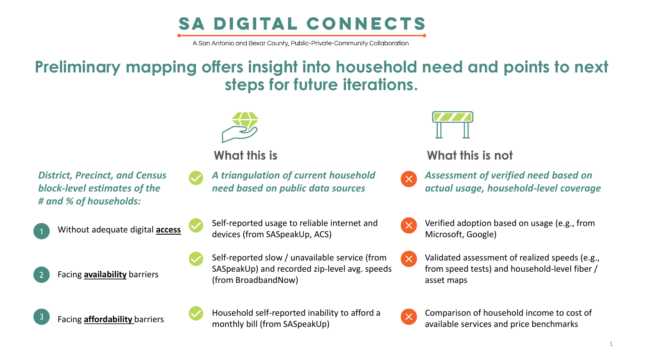# **SA DIGITAL CONNECTS**

A San Antonio and Bexar County, Public-Private-Community Collaboration

*A triangulation of current household need based on public data sources*

Self-reported usage to reliable internet and

Self-reported slow / unavailable service (from SASpeakUp) and recorded zip-level avg. speeds

devices (from SASpeakUp, ACS)

(from BroadbandNow)

# **Preliminary mapping offers insight into household need and points to next steps for future iterations.**





**What this is What this is not** 

- *Assessment of verified need based on actual usage, household-level coverage*
- Verified adoption based on usage (e.g., from  $\times$ Microsoft, Google)
	- Validated assessment of realized speeds (e.g., from speed tests) and household-level fiber / asset maps



Comparison of household income to cost of available services and price benchmarks

*District, Precinct, and Census block-level estimates of the # and % of households:*

Without adequate digital **access** 

Facing **availability** barriers

2



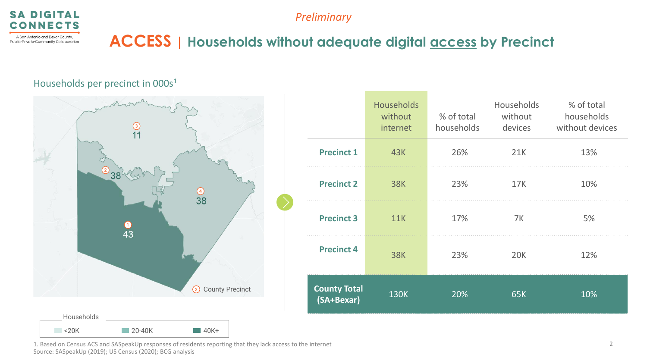

## **ACCESS | Households without adequate digital access by Precinct**

#### Households per precinct in 000s<sup>1</sup>



|                                   | Households<br>without<br>internet | % of total<br>households | Households<br>without<br>devices | % of total<br>households<br>without devices |
|-----------------------------------|-----------------------------------|--------------------------|----------------------------------|---------------------------------------------|
| <b>Precinct 1</b>                 | 43K                               | 26%                      | 21K                              | 13%                                         |
| <b>Precinct 2</b>                 | <b>38K</b>                        | 23%                      | <b>17K</b>                       | 10%                                         |
| <b>Precinct 3</b>                 | 11K                               | 17%                      | 7K                               | 5%                                          |
| <b>Precinct 4</b>                 | <b>38K</b>                        | 23%                      | <b>20K</b>                       | 12%                                         |
| <b>County Total</b><br>(SA+Bexar) | <b>130K</b>                       | 20%                      | 65K                              | 10%                                         |

1. Based on Census ACS and SASpeakUp responses of residents reporting that they lack access to the internet Source: SASpeakUp (2019); US Census (2020); BCG analysis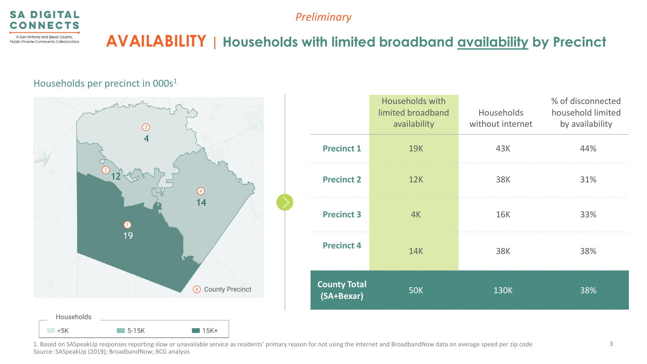

Public-Private-Community Collaboration

*Preliminary*

### **AVAILABILITY | Households with limited broadband availability by Precinct**

#### Households per precinct in 000s<sup>1</sup>



|                                   | <b>Households with</b><br>limited broadband<br>availability | <b>Households</b><br>without internet | % of disconnected<br>household limited<br>by availability |
|-----------------------------------|-------------------------------------------------------------|---------------------------------------|-----------------------------------------------------------|
| <b>Precinct 1</b>                 | <b>19K</b>                                                  | 43K                                   | 44%                                                       |
| <b>Precinct 2</b>                 | 12K                                                         | 38K                                   | 31%                                                       |
| <b>Precinct 3</b>                 | 4K                                                          | <b>16K</b>                            | 33%                                                       |
| <b>Precinct 4</b>                 | <b>14K</b>                                                  | <b>38K</b>                            | 38%                                                       |
| <b>County Total</b><br>(SA+Bexar) | <b>50K</b>                                                  | <b>130K</b>                           | 38%                                                       |

1. Based on SASpeakUp responses reporting slow or unavailable service as residents' primary reason for not using the internet and BroadbandNow data on average speed per zip code Source: SASpeakUp (2019); BroadbandNow; BCG analysis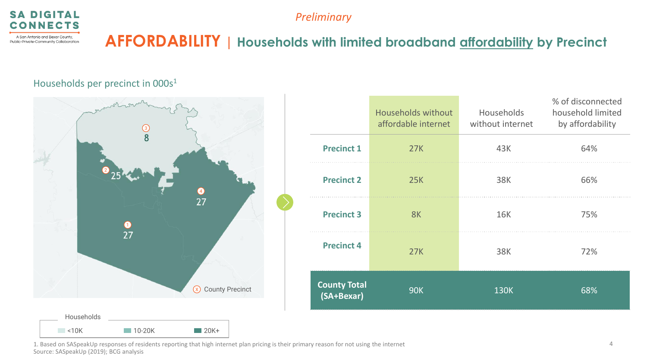



## **AFFORDABILITY | Households with limited broadband affordability by Precinct**

#### Households per precinct in 000s<sup>1</sup>



|                                   | <b>Households without</b><br>affordable internet | Households<br>without internet | % of disconnected<br>household limited<br>by affordability |
|-----------------------------------|--------------------------------------------------|--------------------------------|------------------------------------------------------------|
| <b>Precinct 1</b>                 | 27K                                              | 43K                            | 64%                                                        |
| <b>Precinct 2</b>                 | <b>25K</b>                                       | <b>38K</b>                     | 66%                                                        |
| <b>Precinct 3</b>                 | 8K                                               | <b>16K</b>                     | 75%                                                        |
| <b>Precinct 4</b>                 | 27K                                              | <b>38K</b>                     | 72%                                                        |
| <b>County Total</b><br>(SA+Bexar) | <b>90K</b>                                       | <b>130K</b>                    | 68%                                                        |

1. Based on SASpeakUp responses of residents reporting that high internet plan pricing is their primary reason for not using the internet Source: SASpeakUp (2019); BCG analysis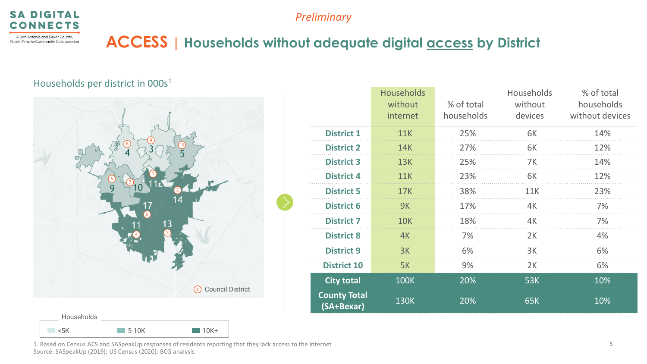

## **ACCESS | Households without adequate digital access by District**

### Households per district in 000s<sup>1</sup>



|                                   | <b>Households</b><br>without<br>internet | % of total<br>households | Households<br>without<br>devices | % of total<br>households<br>without devices |
|-----------------------------------|------------------------------------------|--------------------------|----------------------------------|---------------------------------------------|
| <b>District 1</b>                 | <b>11K</b>                               | 25%                      | 6K                               | 14%                                         |
| <b>District 2</b>                 | <b>14K</b>                               | 27%                      | 6K                               | 12%                                         |
| <b>District 3</b>                 | <b>13K</b>                               | 25%                      | 7K                               | 14%                                         |
| <b>District 4</b>                 | <b>11K</b>                               | 23%                      | 6K                               | 12%                                         |
| <b>District 5</b>                 | 17K                                      | 38%                      | 11K                              | 23%                                         |
| <b>District 6</b>                 | 9K                                       | 17%                      | 4K                               | 7%                                          |
| <b>District 7</b>                 | <b>10K</b>                               | 18%                      | 4K                               | 7%                                          |
| <b>District 8</b>                 | 4K                                       | 7%                       | 2K                               | 4%                                          |
| <b>District 9</b>                 | 3K                                       | 6%                       | 3K                               | 6%                                          |
| <b>District 10</b>                | 5K                                       | 9%                       | 2K                               | 6%                                          |
| <b>City total</b>                 | <b>100K</b>                              | 20%                      | <b>53K</b>                       | 10%                                         |
| <b>County Total</b><br>(SA+Bexar) | <b>130K</b>                              | 20%                      | 65K                              | 10%                                         |

1. Based on Census ACS and SASpeakUp responses of residents reporting that they lack access to the internet Source: SASpeakUp (2019); US Census (2020); BCG analysis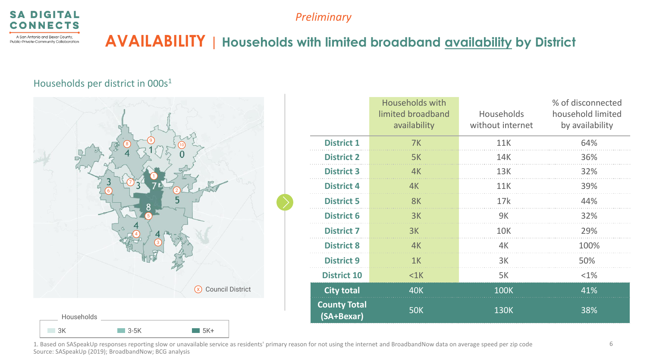



A San Antonio and Bexar County, Public-Private-Community Collaboration

## **AVAILABILITY | Households with limited broadband availability by District**

#### Households per district in 000s<sup>1</sup>



|                                   | <b>Households with</b><br>limited broadband<br>availability | Households<br>without internet | % of disconnected<br>household limited<br>by availability |
|-----------------------------------|-------------------------------------------------------------|--------------------------------|-----------------------------------------------------------|
| <b>District 1</b>                 | 7K                                                          | 11K                            | 64%                                                       |
| <b>District 2</b>                 | 5K                                                          | 14K                            | 36%                                                       |
| <b>District 3</b>                 | 4K                                                          | 13K                            | 32%                                                       |
| <b>District 4</b>                 | 4K                                                          | 11K                            | 39%                                                       |
| <b>District 5</b>                 | 8K                                                          | 17k                            | 44%                                                       |
| <b>District 6</b>                 | 3K                                                          | 9K                             | 32%                                                       |
| <b>District 7</b>                 | 3K                                                          | <b>10K</b>                     | 29%                                                       |
| <b>District 8</b>                 | 4K                                                          | 4K                             | 100%                                                      |
| <b>District 9</b>                 | 1K                                                          | 3K                             | 50%                                                       |
| <b>District 10</b>                | $<$ 1 $K$                                                   | 5K                             | $< 1\%$                                                   |
| <b>City total</b>                 | <b>40K</b>                                                  | <b>100K</b>                    | 41%                                                       |
| <b>County Total</b><br>(SA+Bexar) | <b>50K</b>                                                  | <b>130K</b>                    | 38%                                                       |

1. Based on SASpeakUp responses reporting slow or unavailable service as residents' primary reason for not using the internet and BroadbandNow data on average speed per zip code Source: SASpeakUp (2019); BroadbandNow; BCG analysis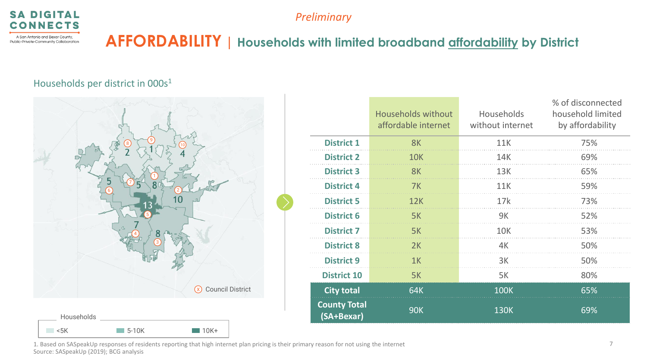



## **AFFORDABILITY | Households with limited broadband affordability by District**

#### Households per district in 000s<sup>1</sup>



|                                   | <b>Households without</b><br>affordable internet | Households<br>without internet | % of disconnected<br>household limited<br>by affordability |
|-----------------------------------|--------------------------------------------------|--------------------------------|------------------------------------------------------------|
| <b>District 1</b>                 | 8K                                               | 11K                            | 75%                                                        |
| <b>District 2</b>                 | <b>10K</b>                                       | 14K                            | 69%                                                        |
| <b>District 3</b>                 | 8K                                               | 13K                            | 65%                                                        |
| <b>District 4</b>                 | 7K                                               | 11K                            | 59%                                                        |
| <b>District 5</b>                 | 12K                                              | 17k                            | 73%                                                        |
| <b>District 6</b>                 | 5K                                               | 9K                             | 52%                                                        |
| <b>District 7</b>                 | 5K                                               | <b>10K</b>                     | 53%                                                        |
| <b>District 8</b>                 | 2K                                               | 4K                             | 50%                                                        |
| <b>District 9</b>                 | 1K                                               | 3K                             | 50%                                                        |
| <b>District 10</b>                | 5K                                               | 5K                             | 80%                                                        |
| <b>City total</b>                 | 64K                                              | <b>100K</b>                    | 65%                                                        |
| <b>County Total</b><br>(SA+Bexar) | <b>90K</b>                                       | <b>130K</b>                    | 69%                                                        |

1. Based on SASpeakUp responses of residents reporting that high internet plan pricing is their primary reason for not using the internet Source: SASpeakUp (2019); BCG analysis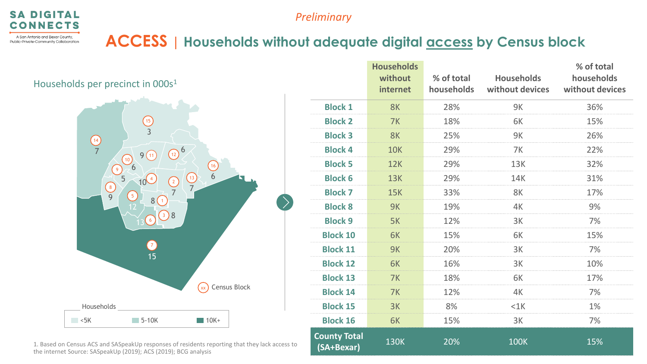

## **ACCESS | Households without adequate digital access by Census block**

Households per precinct in 000s<sup>1</sup>



1. Based on Census ACS and SASpeakUp responses of residents reporting that they lack access to the internet Source: SASpeakUp (2019); ACS (2019); BCG analysis

|                                   | <b>Households</b><br>without<br>internet | % of total<br>households | <b>Households</b><br>without devices | % of total<br>households<br>without devices |
|-----------------------------------|------------------------------------------|--------------------------|--------------------------------------|---------------------------------------------|
| <b>Block 1</b>                    | 8K                                       | 28%                      | 9K                                   | 36%                                         |
| <b>Block 2</b>                    | 7K                                       | 18%                      | 6K                                   | 15%                                         |
| <b>Block 3</b>                    | 8K                                       | 25%                      | 9K                                   | 26%                                         |
| <b>Block 4</b>                    | <b>10K</b>                               | 29%                      | 7K                                   | 22%                                         |
| <b>Block 5</b>                    | 12K                                      | 29%                      | <b>13K</b>                           | 32%                                         |
| <b>Block 6</b>                    | 13K                                      | 29%                      | 14K                                  | 31%                                         |
| <b>Block 7</b>                    | <b>15K</b>                               | 33%                      | 8K                                   | 17%                                         |
| <b>Block 8</b>                    | <b>9K</b>                                | 19%                      | 4K                                   | 9%                                          |
| <b>Block 9</b>                    | 5K                                       | 12%                      | 3K                                   | 7%                                          |
| <b>Block 10</b>                   | 6K                                       | 15%                      | 6K                                   | 15%                                         |
| <b>Block 11</b>                   | <b>9K</b>                                | 20%                      | 3K                                   | 7%                                          |
| <b>Block 12</b>                   | 6K                                       | 16%                      | 3K                                   | 10%                                         |
| <b>Block 13</b>                   | 7K                                       | 18%                      | 6K                                   | 17%                                         |
| <b>Block 14</b>                   | 7K                                       | 12%                      | 4K                                   | 7%                                          |
| <b>Block 15</b>                   | 3K                                       | 8%                       | $<$ 1 $K$                            | 1%                                          |
| <b>Block 16</b>                   | 6K                                       | 15%                      | 3K                                   | 7%                                          |
| <b>County Total</b><br>(SA+Bexar) | <b>130K</b>                              | 20%                      | <b>100K</b>                          | 15%                                         |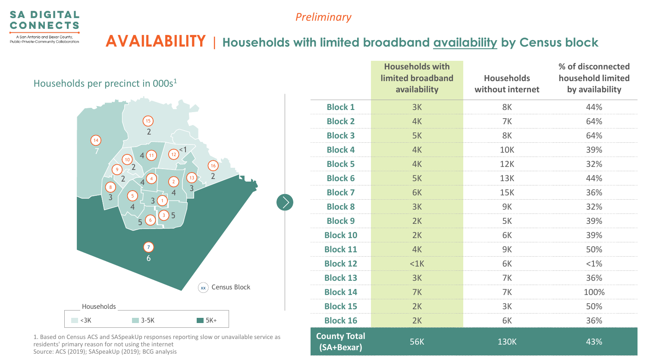

Public-Private-Community Collaboration

*Preliminary*

**AVAILABILITY | Households with limited broadband availability by Census block** 

Households per precinct in 000s<sup>1</sup>  $\blacksquare$  <3K  $\blacksquare$  3-5K  $\blacksquare$  5K+ Households  $\left( \frac{16}{1} \right)$ 13  $\Omega$ <sup><1</sup> 2 1 4 11 4 15  $\left(10\right)$ 9  $\left(14\right)$ 8 7 5 6 3  $(xx)$  Census Block 3 4 5 4 5 6 3 2 2 3 2 2 4

1. Based on Census ACS and SASpeakUp responses reporting slow or unavailable service as residents' primary reason for not using the internet Source: ACS (2019); SASpeakUp (2019); BCG analysis

|                                   | <b>Households with</b><br>limited broadband<br>availability | <b>Households</b><br>without internet | % of disconnected<br>household limited<br>by availability |
|-----------------------------------|-------------------------------------------------------------|---------------------------------------|-----------------------------------------------------------|
| <b>Block 1</b>                    | 3K                                                          | 8K                                    | 44%                                                       |
| <b>Block 2</b>                    | 4K                                                          | 7K                                    | 64%                                                       |
| <b>Block 3</b>                    | 5K                                                          | 8K                                    | 64%                                                       |
| <b>Block 4</b>                    | 4K                                                          | <b>10K</b>                            | 39%                                                       |
| <b>Block 5</b>                    | 4K                                                          | 12K                                   | 32%                                                       |
| <b>Block 6</b>                    | 5K                                                          | <b>13K</b>                            | 44%                                                       |
| <b>Block 7</b>                    | 6K                                                          | <b>15K</b>                            | 36%                                                       |
| <b>Block 8</b>                    | 3K                                                          | 9K                                    | 32%                                                       |
| <b>Block 9</b>                    | 2K                                                          | 5K                                    | 39%                                                       |
| <b>Block 10</b>                   | 2K                                                          | 6K                                    | 39%                                                       |
| <b>Block 11</b>                   | 4K                                                          | <b>9K</b>                             | 50%                                                       |
| <b>Block 12</b>                   | $<$ 1 $K$                                                   | 6K                                    | <1%                                                       |
| <b>Block 13</b>                   | 3K                                                          | 7K                                    | 36%                                                       |
| <b>Block 14</b>                   | 7K                                                          | 7K                                    | 100%                                                      |
| <b>Block 15</b>                   | 2K                                                          | 3K                                    | 50%                                                       |
| <b>Block 16</b>                   | 2K                                                          | 6K                                    | 36%                                                       |
| <b>County Total</b><br>(SA+Bexar) | <b>56K</b>                                                  | <b>130K</b>                           | 43%                                                       |